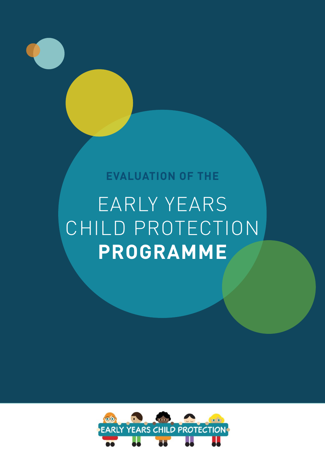### **EVALUATION OF THE**

### EARLY YEARS CHILD PROTECTION **PROGRAMME**

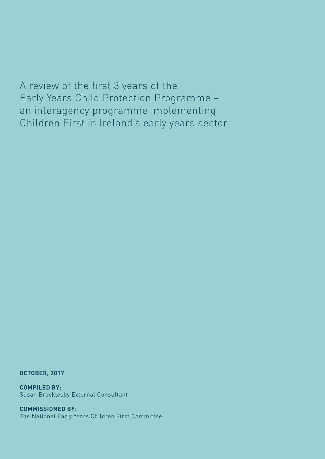A review of the first 3 years of the Early Years Child Protection Programme – an interagency programme implementing Children First in Ireland's early years sector

**OCTOBER, 2017**

**COMPILED BY:**  Susan Brocklesby External Consultant

**COMMISSIONED BY:**  The National Early Years Children First Committee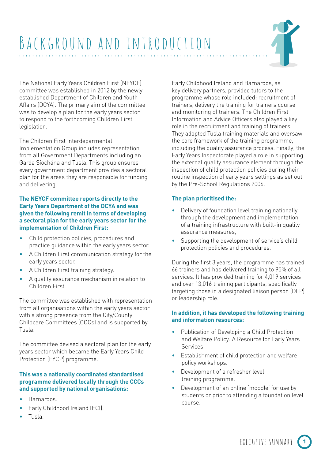

The National Early Years Children First (NEYCF) committee was established in 2012 by the newly established Department of Children and Youth Affairs (DCYA). The primary aim of the committee was to develop a plan for the early years sector to respond to the forthcoming Children First legislation.

The Children First Interdeparmental Implementation Group includes representation from all Government Departments including an Garda Síochána and Tusla. This group ensures every government department provides a sectoral plan for the areas they are responsible for funding and delivering.

#### **The NEYCF committee reports directly to the Early Years Department of the DCYA and was given the following remit in terms of developing a sectoral plan for the early years sector for the implementation of Children First:**

- Child protection policies, procedures and practice guidance within the early years sector.
- A Children First communication strategy for the early years sector.
- A Children First training strategy.
- A quality assurance mechanism in relation to Children First.

The committee was established with representation from all organisations within the early years sector with a strong presence from the City/County Childcare Committees (CCCs) and is supported by Tusla.

The committee devised a sectoral plan for the early years sector which became the Early Years Child Protection (EYCP) programme.

#### **This was a nationally coordinated standardised programme delivered locally through the CCCs and supported by national organisations:**

- Barnardos.
- Early Childhood Ireland (ECI).
- Tusla.

Early Childhood Ireland and Barnardos, as key delivery partners, provided tutors to the programme whose role included: recruitment of trainers, delivery the training for trainers course and monitoring of trainers. The Children First Information and Advice Officers also played a key role in the recruitment and training of trainers. They adapted Tusla training materials and oversaw the core framework of the training programme, including the quality assurance process. Finally, the Early Years Inspectorate played a role in supporting the external quality assurance element through the inspection of child protection policies during their routine inspection of early years settings as set out by the Pre-School Regulations 2006.

#### **The plan prioritised the:**

- Delivery of foundation level training nationally through the development and implementation of a training infrastructure with built-in quality assurance measures,
- Supporting the development of service's child protection policies and procedures.

During the first 3 years, the programme has trained 66 trainers and has delivered training to 95% of all services. It has provided training for 4,019 services and over 13,016 training participants, specifically targeting those in a designated liaison person (DLP) or leadership role.

#### **In addition, it has developed the following training and information resources:**

- Publication of Developing a Child Protection and Welfare Policy: A Resource for Early Years Services.
- Establishment of child protection and welfare policy workshops.
- Development of a refresher level training programme.
- Development of an online 'moodle' for use by students or prior to attending a foundation level course.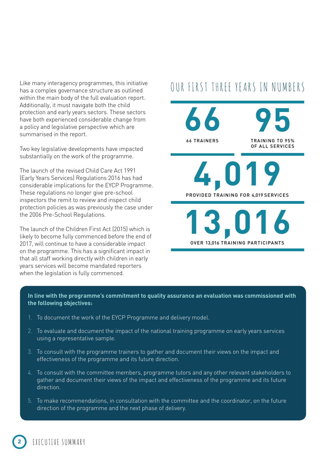Like many interagency programmes, this initiative has a complex governance structure as outlined within the main body of the full evaluation report. Additionally, it must navigate both the child protection and early years sectors. These sectors have both experienced considerable change from a policy and legislative perspective which are summarised in the report.

Two key legislative developments have impacted substantially on the work of the programme.

The launch of the revised Child Care Act 1991 (Early Years Services) Regulations 2016 has had considerable implications for the EYCP Programme. These regulations no longer give pre-school inspectors the remit to review and inspect child protection policies as was previously the case under the 2006 Pre-School Regulations.

The launch of the Children First Act (2015) which is likely to become fully commenced before the end of 2017, will continue to have a considerable impact on the programme. This has a significant impact in that all staff working directly with children in early years services will become mandated reporters when the legislation is fully commenced.

### OUR FIRST THREE YEARS IN NUMBERS



#### **In line with the programme's commitment to quality assurance an evaluation was commissioned with the following objectives:**

- 1. To document the work of the EYCP Programme and delivery model.
- 2. To evaluate and document the impact of the national training programme on early years services using a representative sample.
- 3. To consult with the programme trainers to gather and document their views on the impact and effectiveness of the programme and its future direction.
- 4. To consult with the committee members, programme tutors and any other relevant stakeholders to gather and document their views of the impact and effectiveness of the programme and its future direction.
- 5. To make recommendations, in consultation with the committee and the coordinator, on the future direction of the programme and the next phase of delivery.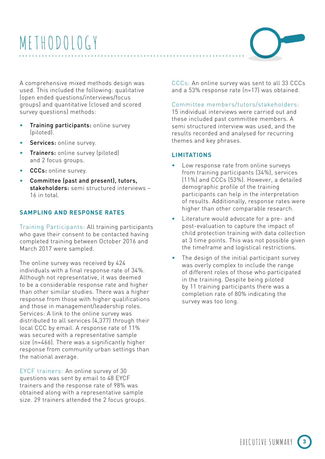## METHODOLOGY

A comprehensive mixed methods design was used. This included the following: qualitative (open ended questions/interviews/focus groups) and quantitative (closed and scored survey questions) methods:

- Training participants: online survey (piloted).
- Services: online survey.
- **Trainers:** online survey (piloted) and 2 focus groups.
- CCCs: online survey.
- Committee (past and present), tutors, stakeholders: semi structured interviews -16 in total.

#### **SAMPLING AND RESPONSE RATES**

Training Participants: All training participants who gave their consent to be contacted having completed training between October 2016 and March 2017 were sampled.

The online survey was received by 424 individuals with a final response rate of 34%. Although not representative, it was deemed to be a considerable response rate and higher than other similar studies. There was a higher response from those with higher qualifications and those in management/leadership roles. Services: A link to the online survey was distributed to all services (4,377) through their local CCC by email. A response rate of 11% was secured with a representative sample size (n=466). There was a significantly higher response from community urban settings than the national average.

EYCF trainers: An online survey of 30 questions was sent by email to 48 EYCF trainers and the response rate of 98% was obtained along with a representative sample size. 29 trainers attended the 2 focus groups.

CCCs: An online survey was sent to all 33 CCCs and a 53% response rate (n=17) was obtained.

#### Committee members/tutors/stakeholders:

15 individual interviews were carried out and these included past committee members. A semi structured interview was used, and the results recorded and analysed for recurring themes and key phrases.

#### **LIMITATIONS**

- Low response rate from online surveys from training participants (34%), services (11%) and CCCs (53%). However, a detailed demographic profile of the training participants can help in the interpretation of results. Additionally, response rates were higher than other comparable research.
- Literature would advocate for a pre- and post-evaluation to capture the impact of child protection training with data collection at 3 time points. This was not possible given the timeframe and logistical restrictions.
- The design of the initial participant survey was overly complex to include the range of different roles of those who participated in the training. Despite being piloted by 11 training participants there was a completion rate of 80% indicating the survey was too long.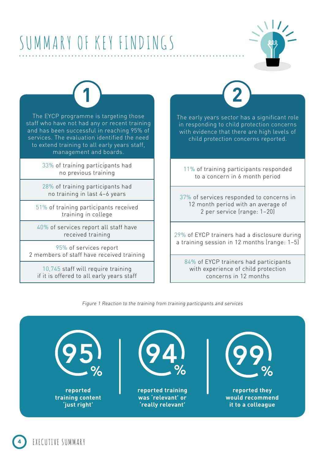## SUMMARY OF KEY FINDINGS



The EYCP programme is targeting those staff who have not had any or recent training and has been successful in reaching 95% of services. The evaluation identified the need to extend training to all early years staff, management and boards.

**1**

33% of training participants had no previous training

28% of training participants had no training in last 4–6 years

51% of training participants received training in college

40% of services report all staff have received training

95% of services report 2 members of staff have received training

10,745 staff will require training if it is offered to all early years staff

EXECUTIVE SUMMARY

The early years sector has a significant role in responding to child protection concerns with evidence that there are high levels of **2**

11% of training participants responded to a concern in 6 month period

child protection concerns reported.

37% of services responded to concerns in 12 month period with an average of 2 per service (range: 1–20)

29% of EYCP trainers had a disclosure during a training session in 12 months (range: 1–5)

84% of EYCP trainers had participants with experience of child protection concerns in 12 months

Figure 1 Reaction to the training from training participants and services

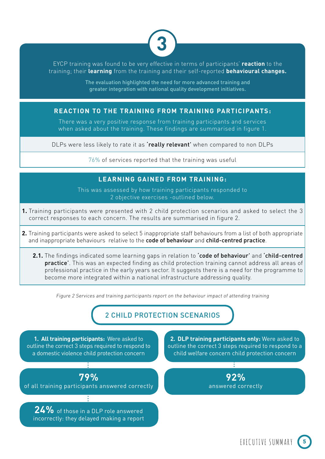

EYCP training was found to be very effective in terms of participants' **reaction** to the training; their **learning** from the training and their self-reported **behavioural changes.** 

> The evaluation highlighted the need for more advanced training and greater integration with national quality development initiatives.

#### **REACTION TO THE TRAINING FROM TRAINING PARTICIPANTS:**

There was a very positive response from training participants and services when asked about the training. These findings are summarised in figure 1.

DLPs were less likely to rate it as 'really relevant' when compared to non DLPs

76% of services reported that the training was useful

#### **LEARNING GAINED FROM TRAINING:**

This was assessed by how training participants responded to 2 objective exercises -outlined below.

- **1.** Training participants were presented with 2 child protection scenarios and asked to select the 3 correct responses to each concern. The results are summarised in figure 2.
- **2.** Training participants were asked to select 5 inappropriate staff behaviours from a list of both appropriate and inappropriate behaviours relative to the code of behaviour and child-centred practice.
	- 2.1. The findings indicated some learning gaps in relation to 'code of behaviour' and 'child-centred practice'. This was an expected finding as child protection training cannot address all areas of professional practice in the early years sector. It suggests there is a need for the programme to become more integrated within a national infrastructure addressing quality.

Figure 2 Services and training participants report on the behaviour impact of attending training

2 CHILD PROTECTION SCENARIOS

**1. All training participants:** Were asked to outline the correct 3 steps required to respond to a domestic violence child protection concern

**79%**  of all training participants answered correctly

**24%** of those in a DLP role answered incorrectly: they delayed making a report

**2. DLP training participants only:** Were asked to outline the correct 3 steps required to respond to a child welfare concern child protection concern

> **92%**  answered correctly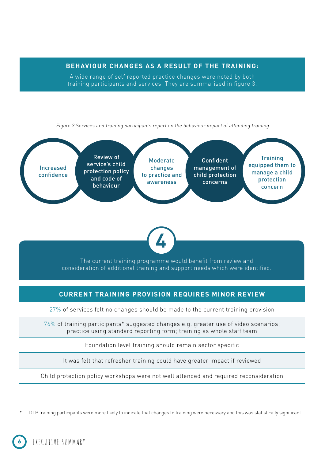**BEHAVIOUR CHANGES AS A RESULT OF THE TRAINING:** 

A wide range of self reported practice changes were noted by both training participants and services. They are summarised in figure 3.

Figure 3 Services and training participants report on the behaviour impact of attending training





The current training programme would benefit from review and consideration of additional training and support needs which were identified.

#### **CURRENT TRAINING PROVISION REQUIRES MINOR REVIEW**

27% of services felt no changes should be made to the current training provision

 $76\%$  of training participants\* suggested changes e.g. greater use of video scenarios; practice using standard reporting form; training as whole staff team

Foundation level training should remain sector specific

It was felt that refresher training could have greater impact if reviewed

Child protection policy workshops were not well attended and required reconsideration

DLP training participants were more likely to indicate that changes to training were necessary and this was statistically significant.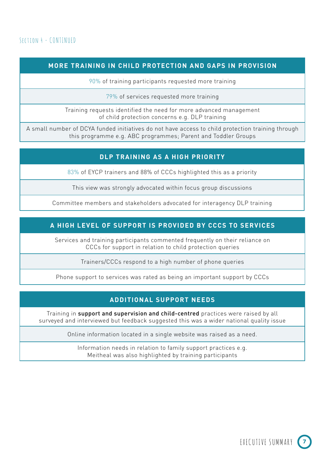#### **MORE TRAINING IN CHILD PROTECTION AND GAPS IN PROVISION**

90% of training participants requested more training

79% of services requested more training

Training requests identified the need for more advanced management of child protection concerns e.g. DLP training

A small number of DCYA funded initiatives do not have access to child protection training through this programme e.g. ABC programmes; Parent and Toddler Groups

#### **DLP TRAINING AS A HIGH PRIORITY**

83% of EYCP trainers and 88% of CCCs highlighted this as a priority

This view was strongly advocated within focus group discussions

Committee members and stakeholders advocated for interagency DLP training

### **A HIGH LEVEL OF SUPPORT IS PROVIDED BY CCCS TO SERVICES**

Services and training participants commented frequently on their reliance on CCCs for support in relation to child protection queries

Trainers/CCCs respond to a high number of phone queries

Phone support to services was rated as being an important support by CCCs

#### **ADDITIONAL SUPPORT NEEDS**

Training in support and supervision and child-centred practices were raised by all surveyed and interviewed but feedback suggested this was a wider national quality issue

Online information located in a single website was raised as a need.

Information needs in relation to family support practices e.g. Meitheal was also highlighted by training participants

EXECUTIVE SUMMARY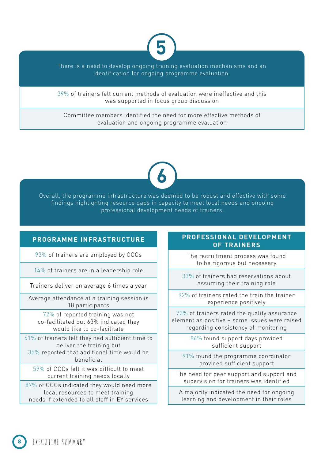

There is a need to develop ongoing training evaluation mechanisms and an identification for ongoing programme evaluation.

39% of trainers felt current methods of evaluation were ineffective and this was supported in focus group discussion

Committee members identified the need for more effective methods of evaluation and ongoing programme evaluation

# **6**

Overall, the programme infrastructure was deemed to be robust and effective with some findings highlighting resource gaps in capacity to meet local needs and ongoing professional development needs of trainers.

#### **PROGRAMME INFRASTRUCTURE**

93% of trainers are employed by CCCs

14% of trainers are in a leadership role

Trainers deliver on average 6 times a year

Average attendance at a training session is 18 participants

72% of reported training was not co-facilitated but 63% indicated they would like to co-facilitate

61% of trainers felt they had sufficient time to deliver the training but 35% reported that additional time would be beneficial

59% of CCCs felt it was difficult to meet current training needs locally

87% of CCCs indicated they would need more local resources to meet training needs if extended to all staff in EY services

#### **PROFESSIONAL DEVELOPMENT OF TRAINERS**

The recruitment process was found to be rigorous but necessary

33% of trainers had reservations about assuming their training role

92% of trainers rated the train the trainer experience positively

72% of trainers rated the quality assurance element as positive – some issues were raised regarding consistency of monitoring

> 86% found support days provided sufficient support

91% found the programme coordinator provided sufficient support

The need for peer support and support and supervision for trainers was identified

A majority indicated the need for ongoing learning and development in their roles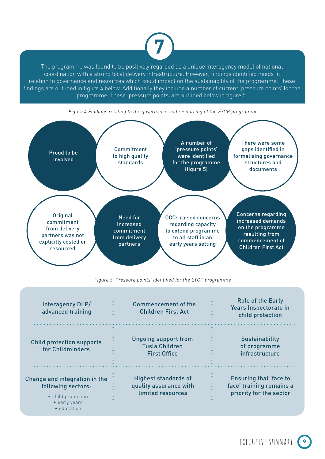

The programme was found to be positively regarded as a unique interagency model of national coordination with a strong local delivery infrastructure. However, findings identified needs in relation to governance and resources which could impact on the sustainability of the programme. These findings are outlined in figure 4 below. Additionally they include a number of current 'pressure points' for the programme. These 'pressure points' are outlined below in figure 5.



Figure 4 Findings relating to the governance and resourcing of the EYCP programme

Figure 5 'Pressure points' identified for the EYCP programme

| Interagency DLP/<br>advanced training                                                                             | Commencement of the<br><b>Children First Act</b>                            | <b>Role of the Early</b><br>Years Inspectorate in<br>child protection         |
|-------------------------------------------------------------------------------------------------------------------|-----------------------------------------------------------------------------|-------------------------------------------------------------------------------|
| <b>Child protection supports</b><br>for Childminders                                                              | <b>Ongoing support from</b><br><b>Tusla Children</b><br><b>First Office</b> | <b>Sustainability</b><br>of programme<br>infrastructure                       |
| Change and integration in the<br>following sectors:<br>• child protection<br>• early years<br>$\bullet$ education | <b>Highest standards of</b><br>quality assurance with<br>limited resources  | Ensuring that 'face to<br>face' training remains a<br>priority for the sector |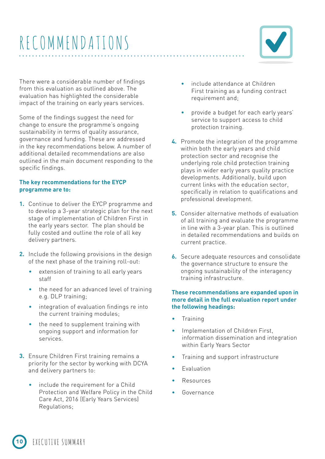### RECOMMENDATIONS



There were a considerable number of findings from this evaluation as outlined above. The evaluation has highlighted the considerable impact of the training on early years services.

Some of the findings suggest the need for change to ensure the programme's ongoing sustainability in terms of quality assurance, governance and funding. These are addressed in the key recommendations below. A number of additional detailed recommendations are also outlined in the main document responding to the specific findings.

#### **The key recommendations for the EYCP programme are to:**

- **1.** Continue to deliver the EYCP programme and to develop a 3-year strategic plan for the next stage of implementation of Children First in the early years sector. The plan should be fully costed and outline the role of all key delivery partners.
- **2.** Include the following provisions in the design of the next phase of the training roll-out:
	- extension of training to all early years staff
	- the need for an advanced level of training e.g. DLP training;
	- integration of evaluation findings re into the current training modules;
	- the need to supplement training with ongoing support and information for services.
- **3.** Ensure Children First training remains a priority for the sector by working with DCYA and delivery partners to:
	- include the requirement for a Child Protection and Welfare Policy in the Child Care Act, 2016 (Early Years Services) Regulations;
- include attendance at Children First training as a funding contract requirement and;
- provide a budget for each early years' service to support access to child protection training.
- **4.** Promote the integration of the programme within both the early years and child protection sector and recognise the underlying role child protection training plays in wider early years quality practice developments. Additionally, build upon current links with the education sector, specifically in relation to qualifications and professional development.
- **5.** Consider alternative methods of evaluation of all training and evaluate the programme in line with a 3-year plan. This is outlined in detailed recommendations and builds on current practice.
- **6.** Secure adequate resources and consolidate the governance structure to ensure the ongoing sustainability of the interagency training infrastructure.

#### **These recommendations are expanded upon in more detail in the full evaluation report under the following headings:**

- Training
- Implementation of Children First, information dissemination and integration within Early Years Sector
- Training and support infrastructure
- **Evaluation**
- **Resources**
- Governance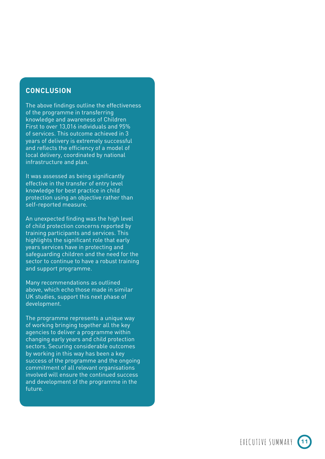#### **CONCLUSION**

The above findings outline the effectiveness of the programme in transferring knowledge and awareness of Children First to over 13,016 individuals and 95% of services. This outcome achieved in 3 years of delivery is extremely successful and reflects the efficiency of a model of local delivery, coordinated by national infrastructure and plan.

It was assessed as being significantly effective in the transfer of entry level knowledge for best practice in child protection using an objective rather than self-reported measure.

An unexpected finding was the high level of child protection concerns reported by training participants and services. This highlights the significant role that early years services have in protecting and safeguarding children and the need for the sector to continue to have a robust training and support programme.

Many recommendations as outlined above, which echo those made in similar UK studies, support this next phase of development.

The programme represents a unique way of working bringing together all the key agencies to deliver a programme within changing early years and child protection sectors. Securing considerable outcomes by working in this way has been a key success of the programme and the ongoing commitment of all relevant organisations involved will ensure the continued success and development of the programme in the future.